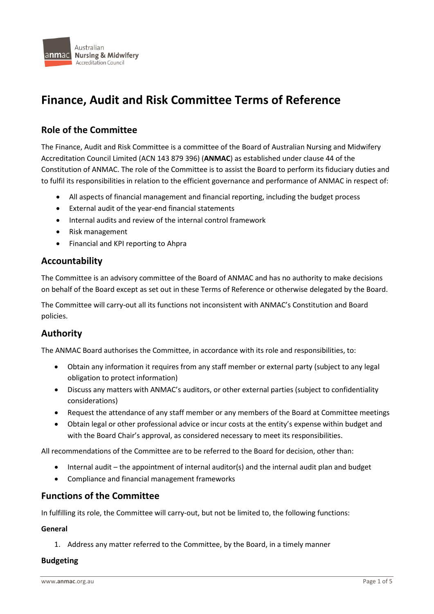

# **Finance, Audit and Risk Committee Terms of Reference**

# **Role of the Committee**

The Finance, Audit and Risk Committee is a committee of the Board of Australian Nursing and Midwifery Accreditation Council Limited (ACN 143 879 396) (**ANMAC**) as established under clause 44 of the Constitution of ANMAC. The role of the Committee is to assist the Board to perform its fiduciary duties and to fulfil its responsibilities in relation to the efficient governance and performance of ANMAC in respect of:

- All aspects of financial management and financial reporting, including the budget process
- External audit of the year-end financial statements
- Internal audits and review of the internal control framework
- Risk management
- Financial and KPI reporting to Ahpra

# **Accountability**

The Committee is an advisory committee of the Board of ANMAC and has no authority to make decisions on behalf of the Board except as set out in these Terms of Reference or otherwise delegated by the Board.

The Committee will carry-out all its functions not inconsistent with ANMAC's Constitution and Board policies.

# **Authority**

The ANMAC Board authorises the Committee, in accordance with its role and responsibilities, to:

- Obtain any information it requires from any staff member or external party (subject to any legal obligation to protect information)
- Discuss any matters with ANMAC's auditors, or other external parties (subject to confidentiality considerations)
- Request the attendance of any staff member or any members of the Board at Committee meetings
- Obtain legal or other professional advice or incur costs at the entity's expense within budget and with the Board Chair's approval, as considered necessary to meet its responsibilities.

All recommendations of the Committee are to be referred to the Board for decision, other than:

- Internal audit the appointment of internal auditor(s) and the internal audit plan and budget
- Compliance and financial management frameworks

# **Functions of the Committee**

In fulfilling its role, the Committee will carry-out, but not be limited to, the following functions:

# **General**

1. Address any matter referred to the Committee, by the Board, in a timely manner

#### **Budgeting**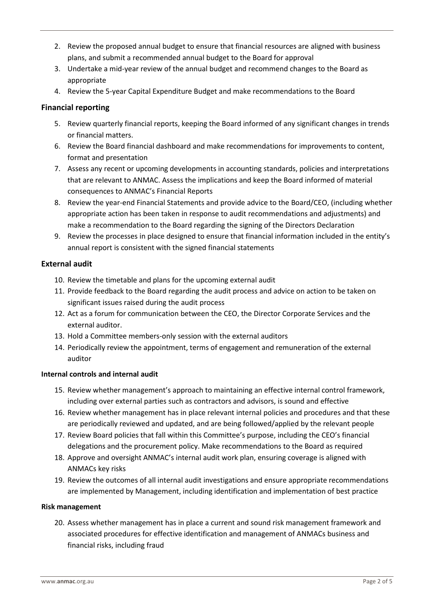- 2. Review the proposed annual budget to ensure that financial resources are aligned with business plans, and submit a recommended annual budget to the Board for approval
- 3. Undertake a mid-year review of the annual budget and recommend changes to the Board as appropriate
- 4. Review the 5-year Capital Expenditure Budget and make recommendations to the Board

# **Financial reporting**

- 5. Review quarterly financial reports, keeping the Board informed of any significant changes in trends or financial matters.
- 6. Review the Board financial dashboard and make recommendations for improvements to content, format and presentation
- 7. Assess any recent or upcoming developments in accounting standards, policies and interpretations that are relevant to ANMAC. Assess the implications and keep the Board informed of material consequences to ANMAC's Financial Reports
- 8. Review the year-end Financial Statements and provide advice to the Board/CEO, (including whether appropriate action has been taken in response to audit recommendations and adjustments) and make a recommendation to the Board regarding the signing of the Directors Declaration
- 9. Review the processes in place designed to ensure that financial information included in the entity's annual report is consistent with the signed financial statements

# **External audit**

- 10. Review the timetable and plans for the upcoming external audit
- 11. Provide feedback to the Board regarding the audit process and advice on action to be taken on significant issues raised during the audit process
- 12. Act as a forum for communication between the CEO, the Director Corporate Services and the external auditor.
- 13. Hold a Committee members-only session with the external auditors
- 14. Periodically review the appointment, terms of engagement and remuneration of the external auditor

# **Internal controls and internal audit**

- 15. Review whether management's approach to maintaining an effective internal control framework, including over external parties such as contractors and advisors, is sound and effective
- 16. Review whether management has in place relevant internal policies and procedures and that these are periodically reviewed and updated, and are being followed/applied by the relevant people
- 17. Review Board policies that fall within this Committee's purpose, including the CEO's financial delegations and the procurement policy. Make recommendations to the Board as required
- 18. Approve and oversight ANMAC's internal audit work plan, ensuring coverage is aligned with ANMACs key risks
- 19. Review the outcomes of all internal audit investigations and ensure appropriate recommendations are implemented by Management, including identification and implementation of best practice

# **Risk management**

20. Assess whether management has in place a current and sound risk management framework and associated procedures for effective identification and management of ANMACs business and financial risks, including fraud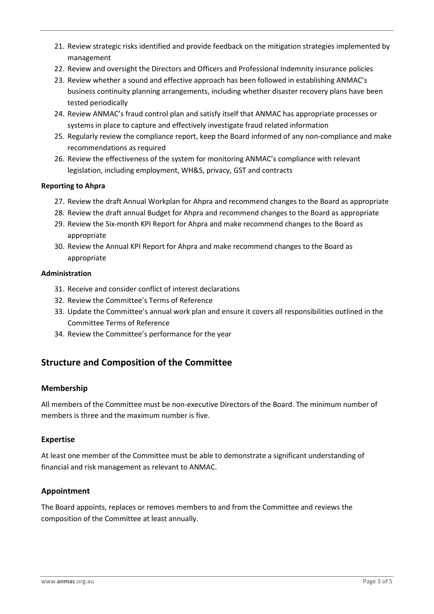- 21. Review strategic risks identified and provide feedback on the mitigation strategies implemented by management
- 22. Review and oversight the Directors and Officers and Professional Indemnity insurance policies
- 23. Review whether a sound and effective approach has been followed in establishing ANMAC's business continuity planning arrangements, including whether disaster recovery plans have been tested periodically
- 24. Review ANMAC's fraud control plan and satisfy itself that ANMAC has appropriate processes or systems in place to capture and effectively investigate fraud related information
- 25. Regularly review the compliance report, keep the Board informed of any non-compliance and make recommendations as required
- 26. Review the effectiveness of the system for monitoring ANMAC's compliance with relevant legislation, including employment, WH&S, privacy, GST and contracts

#### **Reporting to Ahpra**

- 27. Review the draft Annual Workplan for Ahpra and recommend changes to the Board as appropriate
- 28. Review the draft annual Budget for Ahpra and recommend changes to the Board as appropriate
- 29. Review the Six-month KPI Report for Ahpra and make recommend changes to the Board as appropriate
- 30. Review the Annual KPI Report for Ahpra and make recommend changes to the Board as appropriate

#### **Administration**

- 31. Receive and consider conflict of interest declarations
- 32. Review the Committee's Terms of Reference
- 33. Update the Committee's annual work plan and ensure it covers all responsibilities outlined in the Committee Terms of Reference
- 34. Review the Committee's performance for the year

# **Structure and Composition of the Committee**

# **Membership**

All members of the Committee must be non-executive Directors of the Board. The minimum number of members is three and the maximum number is five.

#### **Expertise**

At least one member of the Committee must be able to demonstrate a significant understanding of financial and risk management as relevant to ANMAC.

# **Appointment**

The Board appoints, replaces or removes members to and from the Committee and reviews the composition of the Committee at least annually.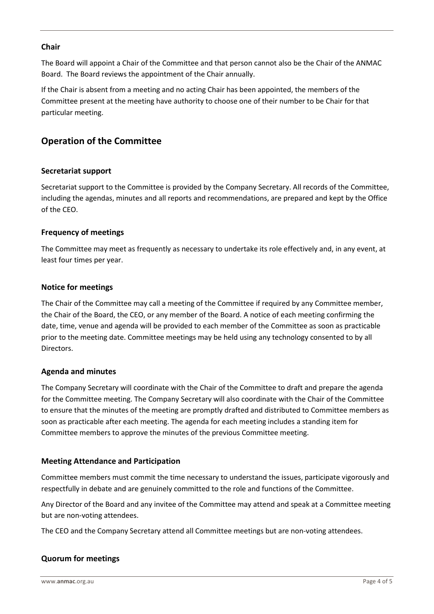#### **Chair**

The Board will appoint a Chair of the Committee and that person cannot also be the Chair of the ANMAC Board. The Board reviews the appointment of the Chair annually.

If the Chair is absent from a meeting and no acting Chair has been appointed, the members of the Committee present at the meeting have authority to choose one of their number to be Chair for that particular meeting.

# **Operation of the Committee**

# **Secretariat support**

Secretariat support to the Committee is provided by the Company Secretary. All records of the Committee, including the agendas, minutes and all reports and recommendations, are prepared and kept by the Office of the CEO.

# **Frequency of meetings**

The Committee may meet as frequently as necessary to undertake its role effectively and, in any event, at least four times per year.

#### **Notice for meetings**

The Chair of the Committee may call a meeting of the Committee if required by any Committee member, the Chair of the Board, the CEO, or any member of the Board. A notice of each meeting confirming the date, time, venue and agenda will be provided to each member of the Committee as soon as practicable prior to the meeting date. Committee meetings may be held using any technology consented to by all Directors.

#### **Agenda and minutes**

The Company Secretary will coordinate with the Chair of the Committee to draft and prepare the agenda for the Committee meeting. The Company Secretary will also coordinate with the Chair of the Committee to ensure that the minutes of the meeting are promptly drafted and distributed to Committee members as soon as practicable after each meeting. The agenda for each meeting includes a standing item for Committee members to approve the minutes of the previous Committee meeting.

#### **Meeting Attendance and Participation**

Committee members must commit the time necessary to understand the issues, participate vigorously and respectfully in debate and are genuinely committed to the role and functions of the Committee.

Any Director of the Board and any invitee of the Committee may attend and speak at a Committee meeting but are non-voting attendees.

The CEO and the Company Secretary attend all Committee meetings but are non-voting attendees.

# **Quorum for meetings**